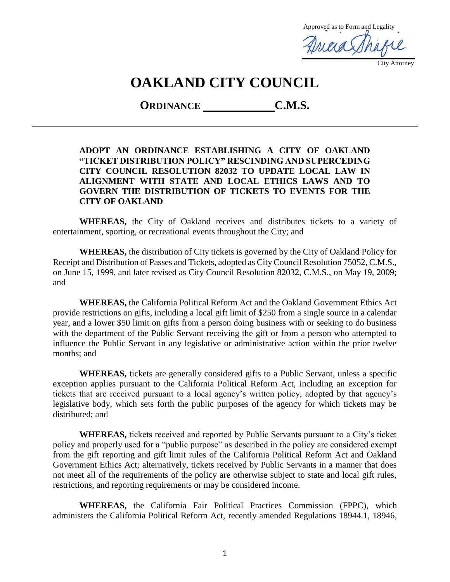Approved as to Form and Legality Aricia Sha City Attorney

# **OAKLAND CITY COUNCIL**

**ORDINANCE C.M.S.**

#### **ADOPT AN ORDINANCE ESTABLISHING A CITY OF OAKLAND "TICKET DISTRIBUTION POLICY" RESCINDING AND SUPERCEDING CITY COUNCIL RESOLUTION 82032 TO UPDATE LOCAL LAW IN ALIGNMENT WITH STATE AND LOCAL ETHICS LAWS AND TO GOVERN THE DISTRIBUTION OF TICKETS TO EVENTS FOR THE CITY OF OAKLAND**

**WHEREAS,** the City of Oakland receives and distributes tickets to a variety of entertainment, sporting, or recreational events throughout the City; and

**WHEREAS,** the distribution of City tickets is governed by the City of Oakland Policy for Receipt and Distribution of Passes and Tickets, adopted as City Council Resolution 75052, C.M.S., on June 15, 1999, and later revised as City Council Resolution 82032, C.M.S., on May 19, 2009; and

**WHEREAS,** the California Political Reform Act and the Oakland Government Ethics Act provide restrictions on gifts, including a local gift limit of \$250 from a single source in a calendar year, and a lower \$50 limit on gifts from a person doing business with or seeking to do business with the department of the Public Servant receiving the gift or from a person who attempted to influence the Public Servant in any legislative or administrative action within the prior twelve months; and

**WHEREAS,** tickets are generally considered gifts to a Public Servant, unless a specific exception applies pursuant to the California Political Reform Act, including an exception for tickets that are received pursuant to a local agency's written policy, adopted by that agency's legislative body, which sets forth the public purposes of the agency for which tickets may be distributed; and

**WHEREAS,** tickets received and reported by Public Servants pursuant to a City's ticket policy and properly used for a "public purpose" as described in the policy are considered exempt from the gift reporting and gift limit rules of the California Political Reform Act and Oakland Government Ethics Act; alternatively, tickets received by Public Servants in a manner that does not meet all of the requirements of the policy are otherwise subject to state and local gift rules, restrictions, and reporting requirements or may be considered income.

**WHEREAS,** the California Fair Political Practices Commission (FPPC), which administers the California Political Reform Act, recently amended Regulations 18944.1, 18946,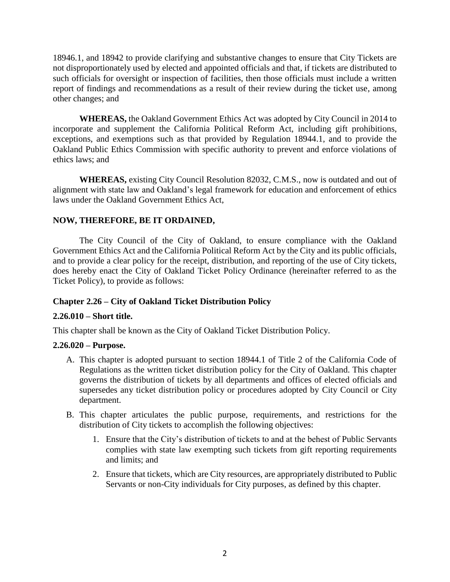18946.1, and 18942 to provide clarifying and substantive changes to ensure that City Tickets are not disproportionately used by elected and appointed officials and that, if tickets are distributed to such officials for oversight or inspection of facilities, then those officials must include a written report of findings and recommendations as a result of their review during the ticket use, among other changes; and

**WHEREAS,** the Oakland Government Ethics Act was adopted by City Council in 2014 to incorporate and supplement the California Political Reform Act, including gift prohibitions, exceptions, and exemptions such as that provided by Regulation 18944.1, and to provide the Oakland Public Ethics Commission with specific authority to prevent and enforce violations of ethics laws; and

**WHEREAS,** existing City Council Resolution 82032, C.M.S., now is outdated and out of alignment with state law and Oakland's legal framework for education and enforcement of ethics laws under the Oakland Government Ethics Act,

# **NOW, THEREFORE, BE IT ORDAINED,**

The City Council of the City of Oakland, to ensure compliance with the Oakland Government Ethics Act and the California Political Reform Act by the City and its public officials, and to provide a clear policy for the receipt, distribution, and reporting of the use of City tickets, does hereby enact the City of Oakland Ticket Policy Ordinance (hereinafter referred to as the Ticket Policy), to provide as follows:

# **Chapter 2.26 – City of Oakland Ticket Distribution Policy**

# **2.26.010 – Short title.**

This chapter shall be known as the City of Oakland Ticket Distribution Policy.

#### **2.26.020 – Purpose.**

- A. This chapter is adopted pursuant to section 18944.1 of Title 2 of the California Code of Regulations as the written ticket distribution policy for the City of Oakland. This chapter governs the distribution of tickets by all departments and offices of elected officials and supersedes any ticket distribution policy or procedures adopted by City Council or City department.
- B. This chapter articulates the public purpose, requirements, and restrictions for the distribution of City tickets to accomplish the following objectives:
	- 1. Ensure that the City's distribution of tickets to and at the behest of Public Servants complies with state law exempting such tickets from gift reporting requirements and limits; and
	- 2. Ensure that tickets, which are City resources, are appropriately distributed to Public Servants or non-City individuals for City purposes, as defined by this chapter.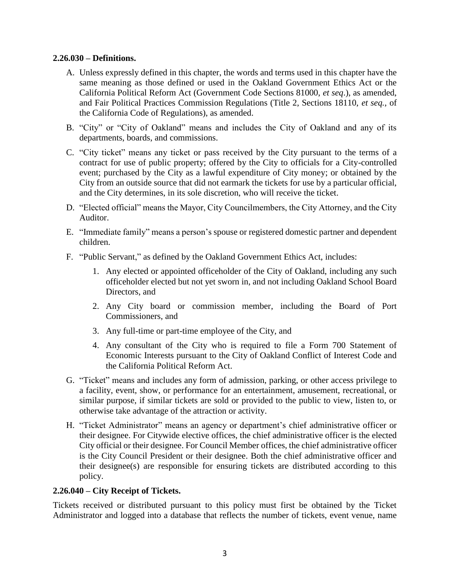#### **2.26.030 – Definitions.**

- A. Unless expressly defined in this chapter, the words and terms used in this chapter have the same meaning as those defined or used in the Oakland Government Ethics Act or the California Political Reform Act (Government Code Sections 81000, *et seq*.), as amended, and Fair Political Practices Commission Regulations (Title 2, Sections 18110, *et seq.*, of the California Code of Regulations), as amended.
- B. "City" or "City of Oakland" means and includes the City of Oakland and any of its departments, boards, and commissions.
- C. "City ticket" means any ticket or pass received by the City pursuant to the terms of a contract for use of public property; offered by the City to officials for a City-controlled event; purchased by the City as a lawful expenditure of City money; or obtained by the City from an outside source that did not earmark the tickets for use by a particular official, and the City determines, in its sole discretion, who will receive the ticket.
- D. "Elected official" means the Mayor, City Councilmembers, the City Attorney, and the City Auditor.
- E. "Immediate family" means a person's spouse or registered domestic partner and dependent children.
- F. "Public Servant," as defined by the Oakland Government Ethics Act, includes:
	- 1. Any elected or appointed officeholder of the City of Oakland, including any such officeholder elected but not yet sworn in, and not including Oakland School Board Directors, and
	- 2. Any City board or commission member, including the Board of Port Commissioners, and
	- 3. Any full-time or part-time employee of the City, and
	- 4. Any consultant of the City who is required to file a Form 700 Statement of Economic Interests pursuant to the City of Oakland Conflict of Interest Code and the California Political Reform Act.
- G. "Ticket" means and includes any form of admission, parking, or other access privilege to a facility, event, show, or performance for an entertainment, amusement, recreational, or similar purpose, if similar tickets are sold or provided to the public to view, listen to, or otherwise take advantage of the attraction or activity.
- H. "Ticket Administrator" means an agency or department's chief administrative officer or their designee. For Citywide elective offices, the chief administrative officer is the elected City official or their designee. For Council Member offices, the chief administrative officer is the City Council President or their designee. Both the chief administrative officer and their designee(s) are responsible for ensuring tickets are distributed according to this policy.

# **2.26.040 – City Receipt of Tickets.**

Tickets received or distributed pursuant to this policy must first be obtained by the Ticket Administrator and logged into a database that reflects the number of tickets, event venue, name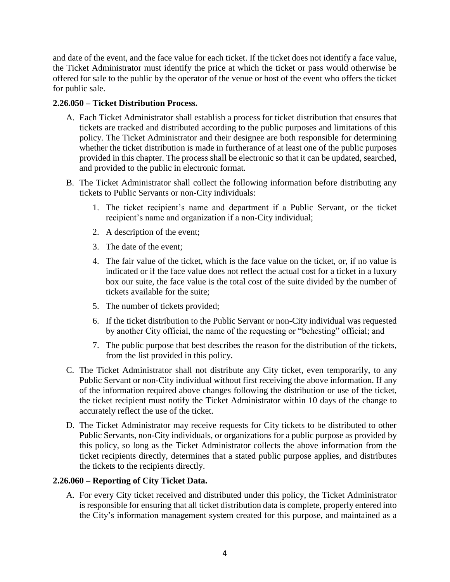and date of the event, and the face value for each ticket. If the ticket does not identify a face value, the Ticket Administrator must identify the price at which the ticket or pass would otherwise be offered for sale to the public by the operator of the venue or host of the event who offers the ticket for public sale.

# **2.26.050 – Ticket Distribution Process.**

- A. Each Ticket Administrator shall establish a process for ticket distribution that ensures that tickets are tracked and distributed according to the public purposes and limitations of this policy. The Ticket Administrator and their designee are both responsible for determining whether the ticket distribution is made in furtherance of at least one of the public purposes provided in this chapter. The process shall be electronic so that it can be updated, searched, and provided to the public in electronic format.
- B. The Ticket Administrator shall collect the following information before distributing any tickets to Public Servants or non-City individuals:
	- 1. The ticket recipient's name and department if a Public Servant, or the ticket recipient's name and organization if a non-City individual;
	- 2. A description of the event;
	- 3. The date of the event;
	- 4. The fair value of the ticket, which is the face value on the ticket, or, if no value is indicated or if the face value does not reflect the actual cost for a ticket in a luxury box our suite, the face value is the total cost of the suite divided by the number of tickets available for the suite;
	- 5. The number of tickets provided;
	- 6. If the ticket distribution to the Public Servant or non-City individual was requested by another City official, the name of the requesting or "behesting" official; and
	- 7. The public purpose that best describes the reason for the distribution of the tickets, from the list provided in this policy.
- C. The Ticket Administrator shall not distribute any City ticket, even temporarily, to any Public Servant or non-City individual without first receiving the above information. If any of the information required above changes following the distribution or use of the ticket, the ticket recipient must notify the Ticket Administrator within 10 days of the change to accurately reflect the use of the ticket.
- D. The Ticket Administrator may receive requests for City tickets to be distributed to other Public Servants, non-City individuals, or organizations for a public purpose as provided by this policy, so long as the Ticket Administrator collects the above information from the ticket recipients directly, determines that a stated public purpose applies, and distributes the tickets to the recipients directly.

# **2.26.060 – Reporting of City Ticket Data.**

A. For every City ticket received and distributed under this policy, the Ticket Administrator is responsible for ensuring that all ticket distribution data is complete, properly entered into the City's information management system created for this purpose, and maintained as a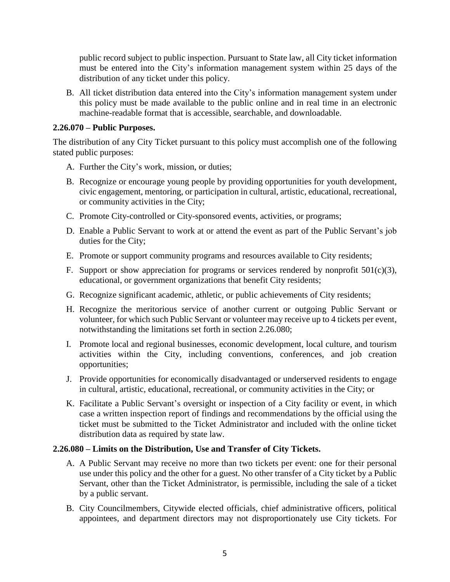public record subject to public inspection. Pursuant to State law, all City ticket information must be entered into the City's information management system within 25 days of the distribution of any ticket under this policy.

B. All ticket distribution data entered into the City's information management system under this policy must be made available to the public online and in real time in an electronic machine-readable format that is accessible, searchable, and downloadable.

#### **2.26.070 – Public Purposes.**

The distribution of any City Ticket pursuant to this policy must accomplish one of the following stated public purposes:

- A. Further the City's work, mission, or duties;
- B. Recognize or encourage young people by providing opportunities for youth development, civic engagement, mentoring, or participation in cultural, artistic, educational, recreational, or community activities in the City;
- C. Promote City-controlled or City-sponsored events, activities, or programs;
- D. Enable a Public Servant to work at or attend the event as part of the Public Servant's job duties for the City;
- E. Promote or support community programs and resources available to City residents;
- F. Support or show appreciation for programs or services rendered by nonprofit  $501(c)(3)$ , educational, or government organizations that benefit City residents;
- G. Recognize significant academic, athletic, or public achievements of City residents;
- H. Recognize the meritorious service of another current or outgoing Public Servant or volunteer, for which such Public Servant or volunteer may receive up to 4 tickets per event, notwithstanding the limitations set forth in section 2.26.080;
- I. Promote local and regional businesses, economic development, local culture, and tourism activities within the City, including conventions, conferences, and job creation opportunities;
- J. Provide opportunities for economically disadvantaged or underserved residents to engage in cultural, artistic, educational, recreational, or community activities in the City; or
- K. Facilitate a Public Servant's oversight or inspection of a City facility or event, in which case a written inspection report of findings and recommendations by the official using the ticket must be submitted to the Ticket Administrator and included with the online ticket distribution data as required by state law.

# **2.26.080 – Limits on the Distribution, Use and Transfer of City Tickets.**

- A. A Public Servant may receive no more than two tickets per event: one for their personal use under this policy and the other for a guest. No other transfer of a City ticket by a Public Servant, other than the Ticket Administrator, is permissible, including the sale of a ticket by a public servant.
- B. City Councilmembers, Citywide elected officials, chief administrative officers, political appointees, and department directors may not disproportionately use City tickets. For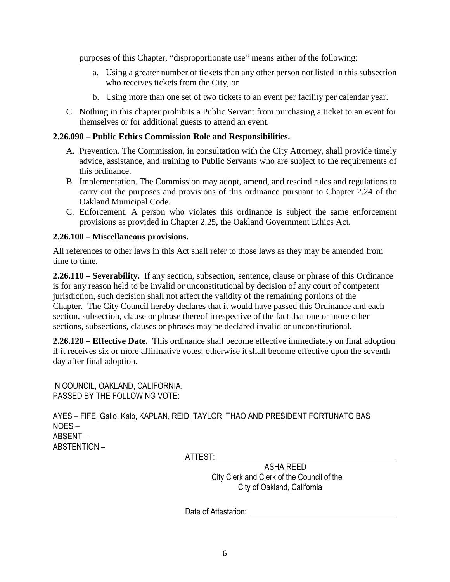purposes of this Chapter, "disproportionate use" means either of the following:

- a. Using a greater number of tickets than any other person not listed in this subsection who receives tickets from the City, or
- b. Using more than one set of two tickets to an event per facility per calendar year.
- C. Nothing in this chapter prohibits a Public Servant from purchasing a ticket to an event for themselves or for additional guests to attend an event.

# **2.26.090 – Public Ethics Commission Role and Responsibilities.**

- A. Prevention. The Commission, in consultation with the City Attorney, shall provide timely advice, assistance, and training to Public Servants who are subject to the requirements of this ordinance.
- B. Implementation. The Commission may adopt, amend, and rescind rules and regulations to carry out the purposes and provisions of this ordinance pursuant to Chapter 2.24 of the Oakland Municipal Code.
- C. Enforcement. A person who violates this ordinance is subject the same enforcement provisions as provided in Chapter 2.25, the Oakland Government Ethics Act.

# **2.26.100 – Miscellaneous provisions.**

All references to other laws in this Act shall refer to those laws as they may be amended from time to time.

**2.26.110 – Severability.** If any section, subsection, sentence, clause or phrase of this Ordinance is for any reason held to be invalid or unconstitutional by decision of any court of competent jurisdiction, such decision shall not affect the validity of the remaining portions of the Chapter. The City Council hereby declares that it would have passed this Ordinance and each section, subsection, clause or phrase thereof irrespective of the fact that one or more other sections, subsections, clauses or phrases may be declared invalid or unconstitutional.

**2.26.120 – Effective Date.** This ordinance shall become effective immediately on final adoption if it receives six or more affirmative votes; otherwise it shall become effective upon the seventh day after final adoption.

IN COUNCIL, OAKLAND, CALIFORNIA, PASSED BY THE FOLLOWING VOTE:

AYES – FIFE, Gallo, Kalb, KAPLAN, REID, TAYLOR, THAO AND PRESIDENT FORTUNATO BAS NOES – ABSENT – ABSTENTION –

ATTEST:

ASHA REED City Clerk and Clerk of the Council of the City of Oakland, California

Date of Attestation: **Date of Attestation**: